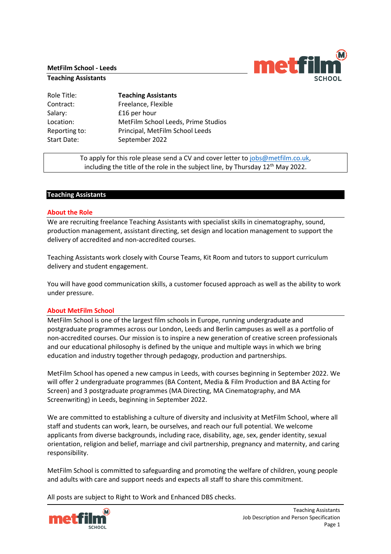#### **MetFilm School - Leeds**

#### **Teaching Assistants**

| Role Title:   | <b>Teaching Assistants</b>          |
|---------------|-------------------------------------|
| Contract:     | Freelance, Flexible                 |
| Salary:       | £16 per hour                        |
| Location:     | MetFilm School Leeds, Prime Studios |
| Reporting to: | Principal, MetFilm School Leeds     |
| Start Date:   | September 2022                      |
|               |                                     |

To apply for this role please send a CV and cover letter to [jobs@metfilm.co.uk,](mailto:jobs@metfilm.co.uk) including the title of the role in the subject line, by Thursday 12 $^{\rm th}$  May 2022.

### **Teaching Assistants**

### **About the Role**

We are recruiting freelance Teaching Assistants with specialist skills in cinematography, sound, production management, assistant directing, set design and location management to support the delivery of accredited and non-accredited courses.

Teaching Assistants work closely with Course Teams, Kit Room and tutors to support curriculum delivery and student engagement.

You will have good communication skills, a customer focused approach as well as the ability to work under pressure.

### **About MetFilm School**

MetFilm School is one of the largest film schools in Europe, running undergraduate and postgraduate programmes across our London, Leeds and Berlin campuses as well as a portfolio of non-accredited courses. Our mission is to inspire a new generation of creative screen professionals and our educational philosophy is defined by the unique and multiple ways in which we bring education and industry together through pedagogy, production and partnerships.

MetFilm School has opened a new campus in Leeds, with courses beginning in September 2022. We will offer 2 undergraduate programmes (BA Content, Media & Film Production and BA Acting for Screen) and 3 postgraduate programmes (MA Directing, MA Cinematography, and MA Screenwriting) in Leeds, beginning in September 2022.

We are committed to establishing a culture of diversity and inclusivity at MetFilm School, where all staff and students can work, learn, be ourselves, and reach our full potential. We welcome applicants from diverse backgrounds, including race, disability, age, sex, gender identity, sexual orientation, religion and belief, marriage and civil partnership, pregnancy and maternity, and caring responsibility.

MetFilm School is committed to safeguarding and promoting the welfare of children, young people and adults with care and support needs and expects all staff to share this commitment.

All posts are subject to Right to Work and Enhanced DBS checks.